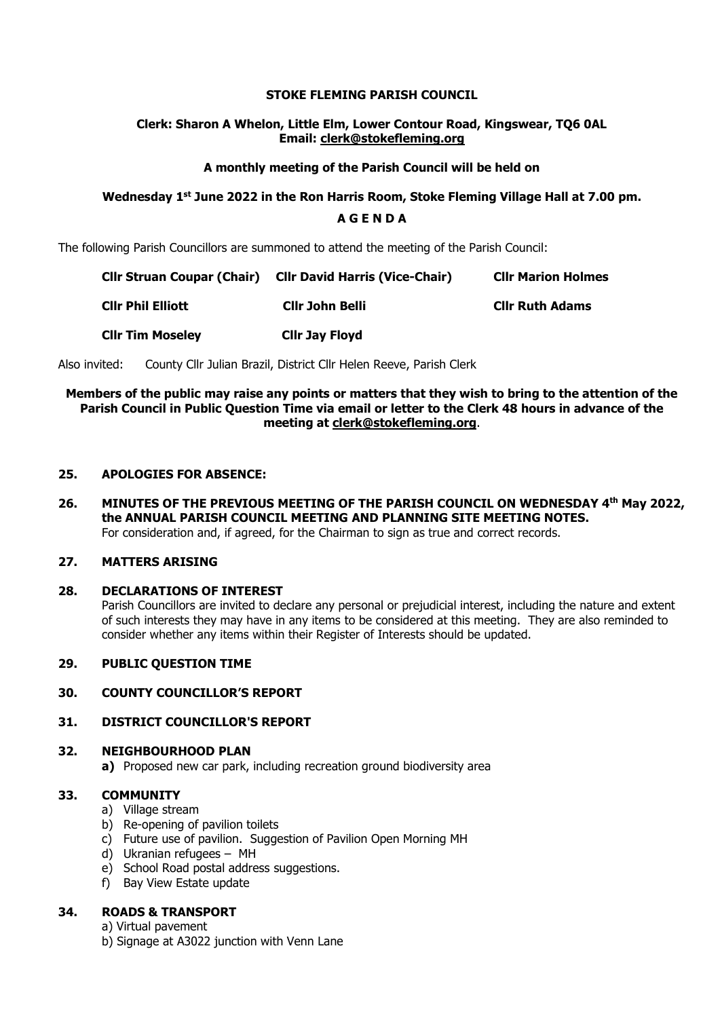### **STOKE FLEMING PARISH COUNCIL**

### **Clerk: Sharon A Whelon, Little Elm, Lower Contour Road, Kingswear, TQ6 0AL Email: clerk@stokefleming.org**

### **A monthly meeting of the Parish Council will be held on**

# **Wednesday 1 st June 2022 in the Ron Harris Room, Stoke Fleming Village Hall at 7.00 pm.**

## **A G E N D A**

The following Parish Councillors are summoned to attend the meeting of the Parish Council:

| <b>Cllr Struan Coupar (Chair)</b> | <b>CIIr David Harris (Vice-Chair)</b> | <b>Clir Marion Holmes</b> |
|-----------------------------------|---------------------------------------|---------------------------|
| <b>CIIr Phil Elliott</b>          | Cllr John Belli                       | <b>Cllr Ruth Adams</b>    |
| <b>Clir Tim Moseley</b>           | <b>Clir Jay Floyd</b>                 |                           |

Also invited: County Cllr Julian Brazil, District Cllr Helen Reeve, Parish Clerk

### **Members of the public may raise any points or matters that they wish to bring to the attention of the Parish Council in Public Question Time via email or letter to the Clerk 48 hours in advance of the meeting at [clerk@stokefleming.org](about:blank)**.

#### **25. APOLOGIES FOR ABSENCE:**

**26. MINUTES OF THE PREVIOUS MEETING OF THE PARISH COUNCIL ON WEDNESDAY 4 th May 2022, the ANNUAL PARISH COUNCIL MEETING AND PLANNING SITE MEETING NOTES.** For consideration and, if agreed, for the Chairman to sign as true and correct records.

### **27. MATTERS ARISING**

#### **28. DECLARATIONS OF INTEREST**

Parish Councillors are invited to declare any personal or prejudicial interest, including the nature and extent of such interests they may have in any items to be considered at this meeting. They are also reminded to consider whether any items within their Register of Interests should be updated.

### **29. PUBLIC QUESTION TIME**

#### **30. COUNTY COUNCILLOR'S REPORT**

# **31. DISTRICT COUNCILLOR'S REPORT**

# **32. NEIGHBOURHOOD PLAN**

**a)** Proposed new car park, including recreation ground biodiversity area

# **33. COMMUNITY**

- a) Village stream
- b) Re-opening of pavilion toilets
- c) Future use of pavilion. Suggestion of Pavilion Open Morning MH
- d) Ukranian refugees MH
- e) School Road postal address suggestions.
- f) Bay View Estate update

# **34. ROADS & TRANSPORT**

- a) Virtual pavement
- b) Signage at A3022 junction with Venn Lane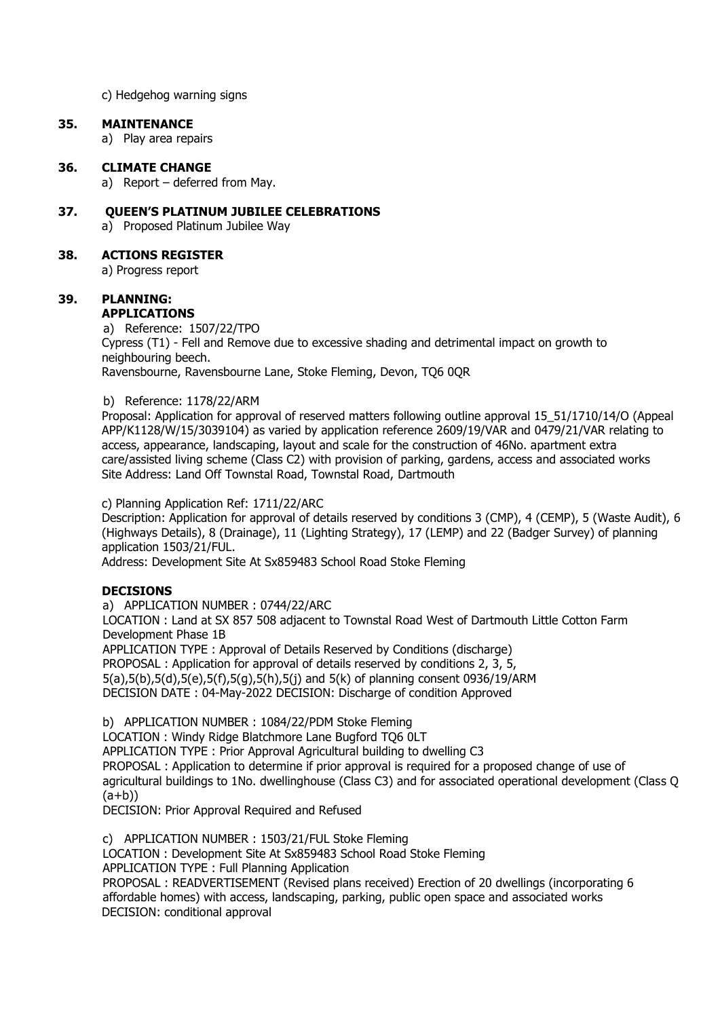c) Hedgehog warning signs

#### **35. MAINTENANCE**

a) Play area repairs

#### **36. CLIMATE CHANGE**

a) Report – deferred from May.

# **37. QUEEN'S PLATINUM JUBILEE CELEBRATIONS**

a) Proposed Platinum Jubilee Way

### **38. ACTIONS REGISTER**

a) Progress report

# **39. PLANNING:**

**APPLICATIONS**

a) Reference: 1507/22/TPO Cypress (T1) - Fell and Remove due to excessive shading and detrimental impact on growth to neighbouring beech.

Ravensbourne, Ravensbourne Lane, Stoke Fleming, Devon, TQ6 0QR

#### b) Reference: 1178/22/ARM

Proposal: Application for approval of reserved matters following outline approval 15\_51/1710/14/O (Appeal APP/K1128/W/15/3039104) as varied by application reference 2609/19/VAR and 0479/21/VAR relating to access, appearance, landscaping, layout and scale for the construction of 46No. apartment extra care/assisted living scheme (Class C2) with provision of parking, gardens, access and associated works Site Address: Land Off Townstal Road, Townstal Road, Dartmouth

c) Planning Application Ref: 1711/22/ARC

Description: Application for approval of details reserved by conditions 3 (CMP), 4 (CEMP), 5 (Waste Audit), 6 (Highways Details), 8 (Drainage), 11 (Lighting Strategy), 17 (LEMP) and 22 (Badger Survey) of planning application 1503/21/FUL.

Address: Development Site At Sx859483 School Road Stoke Fleming

#### **DECISIONS**

a) APPLICATION NUMBER : 0744/22/ARC

LOCATION : Land at SX 857 508 adjacent to Townstal Road West of Dartmouth Little Cotton Farm Development Phase 1B

APPLICATION TYPE : Approval of Details Reserved by Conditions (discharge) PROPOSAL : Application for approval of details reserved by conditions 2, 3, 5, 5(a),5(b),5(d),5(e),5(f),5(g),5(h),5(j) and 5(k) of planning consent 0936/19/ARM DECISION DATE : 04-May-2022 DECISION: Discharge of condition Approved

b) APPLICATION NUMBER : 1084/22/PDM Stoke Fleming

LOCATION : Windy Ridge Blatchmore Lane Bugford TQ6 0LT APPLICATION TYPE : Prior Approval Agricultural building to dwelling C3 PROPOSAL : Application to determine if prior approval is required for a proposed change of use of agricultural buildings to 1No. dwellinghouse (Class C3) and for associated operational development (Class Q  $(a+b)$ 

DECISION: Prior Approval Required and Refused

c) APPLICATION NUMBER : 1503/21/FUL Stoke Fleming

LOCATION : Development Site At Sx859483 School Road Stoke Fleming

APPLICATION TYPE : Full Planning Application

PROPOSAL : READVERTISEMENT (Revised plans received) Erection of 20 dwellings (incorporating 6 affordable homes) with access, landscaping, parking, public open space and associated works DECISION: conditional approval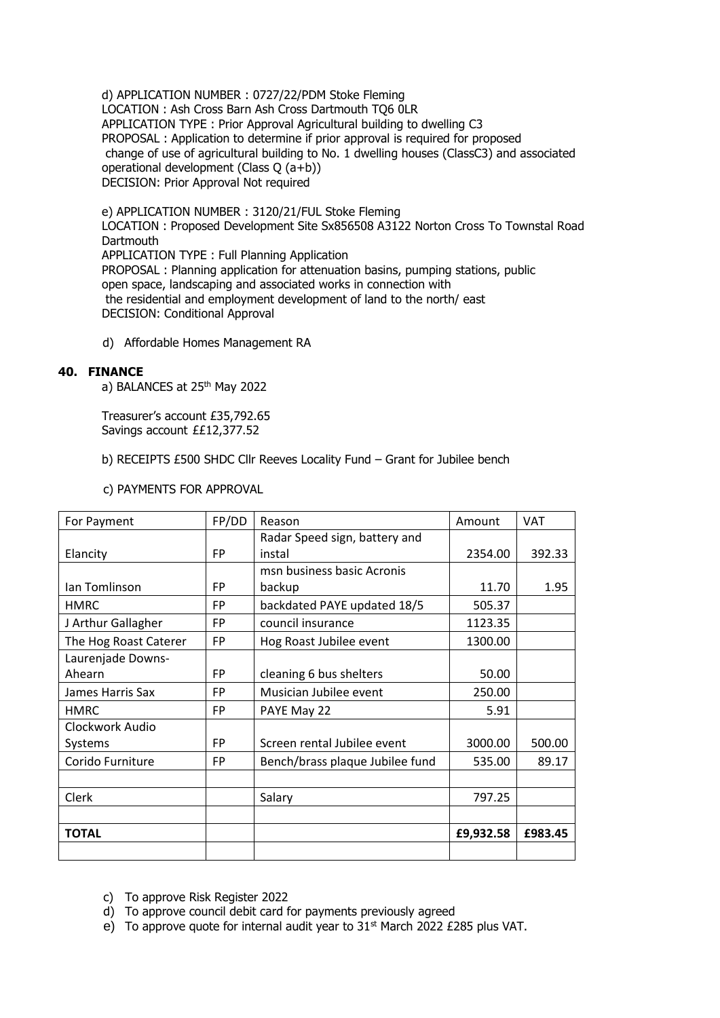d) APPLICATION NUMBER : 0727/22/PDM Stoke Fleming LOCATION : Ash Cross Barn Ash Cross Dartmouth TQ6 0LR APPLICATION TYPE : Prior Approval Agricultural building to dwelling C3 PROPOSAL : Application to determine if prior approval is required for proposed change of use of agricultural building to No. 1 dwelling houses (ClassC3) and associated operational development (Class Q (a+b)) DECISION: Prior Approval Not required

e) APPLICATION NUMBER : 3120/21/FUL Stoke Fleming LOCATION : Proposed Development Site Sx856508 A3122 Norton Cross To Townstal Road **Dartmouth** APPLICATION TYPE : Full Planning Application PROPOSAL : Planning application for attenuation basins, pumping stations, public open space, landscaping and associated works in connection with the residential and employment development of land to the north/ east DECISION: Conditional Approval

d) Affordable Homes Management RA

## **40. FINANCE**

a) BALANCES at 25<sup>th</sup> May 2022

Treasurer's account £35,792.65 Savings account ££12,377.52

b) RECEIPTS £500 SHDC Cllr Reeves Locality Fund – Grant for Jubilee bench

c) PAYMENTS FOR APPROVAL

| For Payment           | FP/DD     | Reason                          | Amount    | <b>VAT</b> |
|-----------------------|-----------|---------------------------------|-----------|------------|
|                       |           | Radar Speed sign, battery and   |           |            |
| Elancity              | <b>FP</b> | instal                          | 2354.00   | 392.33     |
|                       |           | msn business basic Acronis      |           |            |
| Ian Tomlinson         | <b>FP</b> | backup                          | 11.70     | 1.95       |
| <b>HMRC</b>           | <b>FP</b> | backdated PAYE updated 18/5     | 505.37    |            |
| J Arthur Gallagher    | <b>FP</b> | council insurance               | 1123.35   |            |
| The Hog Roast Caterer | <b>FP</b> | Hog Roast Jubilee event         | 1300.00   |            |
| Laurenjade Downs-     |           |                                 |           |            |
| Ahearn                | <b>FP</b> | cleaning 6 bus shelters         | 50.00     |            |
| James Harris Sax      | <b>FP</b> | Musician Jubilee event          | 250.00    |            |
| <b>HMRC</b>           | <b>FP</b> | PAYE May 22                     | 5.91      |            |
| Clockwork Audio       |           |                                 |           |            |
| Systems               | <b>FP</b> | Screen rental Jubilee event     | 3000.00   | 500.00     |
| Corido Furniture      | <b>FP</b> | Bench/brass plaque Jubilee fund | 535.00    | 89.17      |
|                       |           |                                 |           |            |
| Clerk                 |           | Salary                          | 797.25    |            |
|                       |           |                                 |           |            |
| <b>TOTAL</b>          |           |                                 | £9,932.58 | £983.45    |
|                       |           |                                 |           |            |

- c) To approve Risk Register 2022
- d) To approve council debit card for payments previously agreed
- e) To approve quote for internal audit year to  $31<sup>st</sup>$  March 2022 £285 plus VAT.